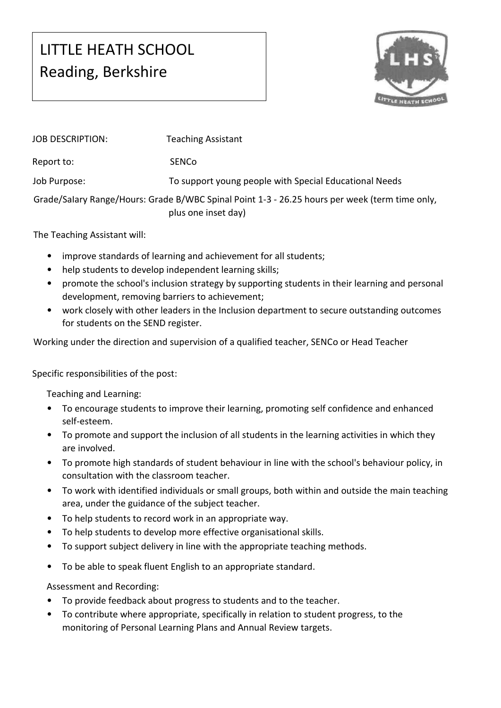## LITTLE HEATH SCHOOL Reading, Berkshire



| JOB DESCRIPTION:                                                                                                      | <b>Teaching Assistant</b>                              |
|-----------------------------------------------------------------------------------------------------------------------|--------------------------------------------------------|
| Report to:                                                                                                            | <b>SENCO</b>                                           |
| Job Purpose:                                                                                                          | To support young people with Special Educational Needs |
| Grade/Salary Range/Hours: Grade B/WBC Spinal Point 1-3 - 26.25 hours per week (term time only,<br>plus one inset day) |                                                        |

The Teaching Assistant will:

- improve standards of learning and achievement for all students;
- help students to develop independent learning skills;
- promote the school's inclusion strategy by supporting students in their learning and personal development, removing barriers to achievement;
- work closely with other leaders in the Inclusion department to secure outstanding outcomes for students on the SEND register.

Working under the direction and supervision of a qualified teacher, SENCo or Head Teacher

Specific responsibilities of the post:

Teaching and Learning:

- To encourage students to improve their learning, promoting self confidence and enhanced self-esteem.
- To promote and support the inclusion of all students in the learning activities in which they are involved.
- To promote high standards of student behaviour in line with the school's behaviour policy, in consultation with the classroom teacher.
- To work with identified individuals or small groups, both within and outside the main teaching area, under the guidance of the subject teacher.
- To help students to record work in an appropriate way.
- To help students to develop more effective organisational skills.
- To support subject delivery in line with the appropriate teaching methods.
- To be able to speak fluent English to an appropriate standard.

Assessment and Recording:

- To provide feedback about progress to students and to the teacher.
- To contribute where appropriate, specifically in relation to student progress, to the monitoring of Personal Learning Plans and Annual Review targets.